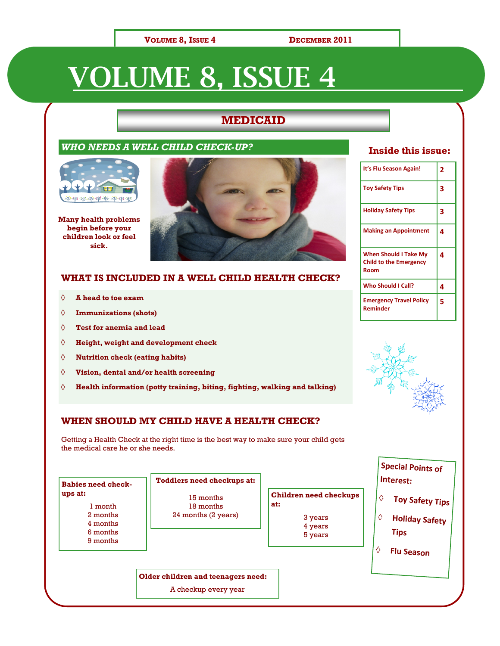### **VOLUME 8, ISSUE 4 DECEMBER 2011**

# **VOLUME 8, ISSUE 4**

### **MEDICAID**

### *WHO NEEDS A WELL CHILD CHECK-UP?*



**Many health problems begin before your children look or feel sick.**



### **WHAT IS INCLUDED IN A WELL CHILD HEALTH CHECK?**

- **A head to toe exam**  $\Diamond$
- $\Diamond$ **Immunizations (shots)**
- $\Diamond$ **Test for anemia and lead**
- $\Diamond$ **Height, weight and development check**
- $\Diamond$ **Nutrition check (eating habits)**
- $\Diamond$ **Vision, dental and/or health screening**
- **Health information (potty training, biting, fighting, walking and talking)**  $\Diamond$

### **WHEN SHOULD MY CHILD HAVE A HEALTH CHECK?**

Getting a Health Check at the right time is the best way to make sure your child gets the medical care he or she needs.

| <b>Babies need check-</b>                                          | <b>Toddlers need checkups at:</b>             |                                                                |             | Interest:                                                                    |
|--------------------------------------------------------------------|-----------------------------------------------|----------------------------------------------------------------|-------------|------------------------------------------------------------------------------|
| ups at:<br>1 month<br>2 months<br>4 months<br>6 months<br>9 months | 15 months<br>18 months<br>24 months (2 years) | Children need checkups<br>at:<br>3 years<br>4 years<br>5 years | ♦<br>♦<br>♦ | Toy Safety Tips<br><b>Holiday Safety</b><br><b>Tips</b><br><b>Flu Season</b> |
|                                                                    | Older children and teenagers need:            |                                                                |             |                                                                              |
|                                                                    | A checkup every year                          |                                                                |             |                                                                              |

### **Inside this issue:**

| It's Flu Season Again!                                                | 2 |
|-----------------------------------------------------------------------|---|
| <b>Toy Safety Tips</b>                                                | 3 |
| <b>Holiday Safety Tips</b>                                            | 3 |
| <b>Making an Appointment</b>                                          | 4 |
| <b>When Should I Take My</b><br><b>Child to the Emergency</b><br>Room | 4 |
| <b>Who Should I Call?</b>                                             | 4 |
| <b>Emergency Travel Policy</b><br>Reminder                            | 5 |



**Special Points of**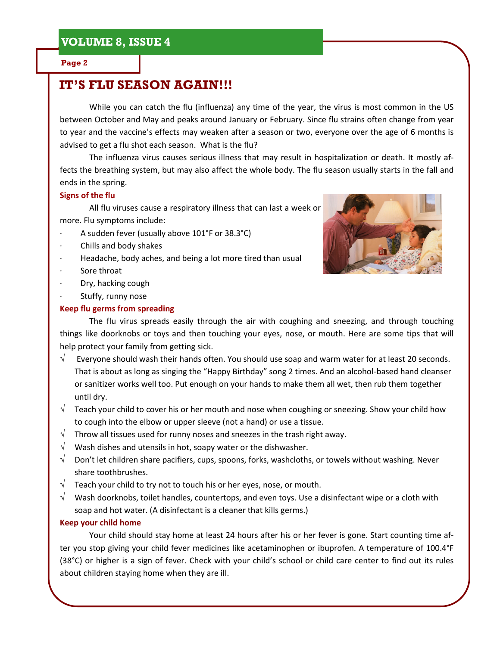#### **Page 2**

# **IT'S FLU SEASON AGAIN!!!**

While you can catch the flu (influenza) any time of the year, the virus is most common in the US between October and May and peaks around January or February. Since flu strains often change from year to year and the vaccine's effects may weaken after a season or two, everyone over the age of 6 months is advised to get a flu shot each season. What is the flu?

The influenza virus causes serious illness that may result in hospitalization or death. It mostly affects the breathing system, but may also affect the whole body. The flu season usually starts in the fall and ends in the spring.

### **Signs of the flu**

All flu viruses cause a respiratory illness that can last a week or more. Flu symptoms include:

- A sudden fever (usually above 101°F or 38.3°C)
- Chills and body shakes
- Headache, body aches, and being a lot more tired than usual
- Sore throat
- · Dry, hacking cough
- Stuffy, runny nose

### **Keep flu germs from spreading**



The flu virus spreads easily through the air with coughing and sneezing, and through touching things like doorknobs or toys and then touching your eyes, nose, or mouth. Here are some tips that will help protect your family from getting sick.

- $\sqrt{ }$  Everyone should wash their hands often. You should use soap and warm water for at least 20 seconds. That is about as long as singing the "Happy Birthday" song 2 times. And an alcohol-based hand cleanser or sanitizer works well too. Put enough on your hands to make them all wet, then rub them together until dry.
- $\sqrt{\phantom{a}}$  Teach your child to cover his or her mouth and nose when coughing or sneezing. Show your child how to cough into the elbow or upper sleeve (not a hand) or use a tissue.
- $\sqrt{\phantom{a}}$  Throw all tissues used for runny noses and sneezes in the trash right away.
- $\sqrt{\phantom{a}}$  Wash dishes and utensils in hot, soapy water or the dishwasher.
- $\sqrt{\phantom{a}}$  Don't let children share pacifiers, cups, spoons, forks, washcloths, or towels without washing. Never share toothbrushes.
- $\sqrt{ }$  Teach your child to try not to touch his or her eyes, nose, or mouth.
- $\sqrt{\phantom{a}}$  Wash doorknobs, toilet handles, countertops, and even toys. Use a disinfectant wipe or a cloth with soap and hot water. (A disinfectant is a cleaner that kills germs.)

### **Keep your child home**

Your child should stay home at least 24 hours after his or her fever is gone. Start counting time after you stop giving your child fever medicines like acetaminophen or ibuprofen. A temperature of 100.4°F (38°C) or higher is a sign of fever. Check with your child's school or child care center to find out its rules about children staying home when they are ill.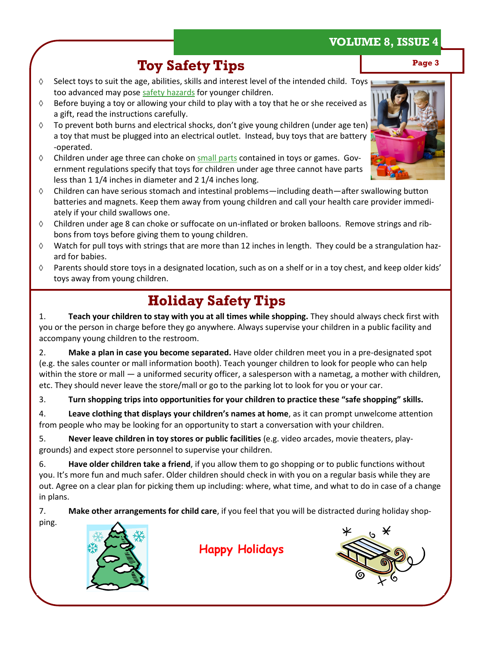# **Toy Safety Tips** Page 3

- Select toys to suit the age, abilities, skills and interest level of the intended child. Toys too advanced may pose safety hazards for younger children.
- $\Diamond$ Before buying a toy or allowing your child to play with a toy that he or she received as a gift, read the instructions carefully.
- To prevent both burns and electrical shocks, don't give young children (under age ten)  $\Diamond$ a toy that must be plugged into an electrical outlet. Instead, buy toys that are battery -operated.
- $\Diamond$ Children under age three can choke on small parts contained in toys or games. Government regulations specify that toys for children under age three cannot have parts less than 1 1/4 inches in diameter and 2 1/4 inches long.
- Children can have serious stomach and intestinal problems—including death—after swallowing button  $\Diamond$ batteries and magnets. Keep them away from young children and call your health care provider immediately if your child swallows one.
- $\Diamond$ Children under age 8 can choke or suffocate on un-inflated or broken balloons. Remove strings and ribbons from toys before giving them to young children.
- $\Diamond$ Watch for pull toys with strings that are more than 12 inches in length. They could be a strangulation hazard for babies.
- Parents should store toys in a designated location, such as on a shelf or in a toy chest, and keep older kids'  $\Diamond$ toys away from young children.

# **Holiday Safety Tips**

1. **Teach your children to stay with you at all times while shopping.** They should always check first with you or the person in charge before they go anywhere. Always supervise your children in a public facility and accompany young children to the restroom.

2. **Make a plan in case you become separated.** Have older children meet you in a pre-designated spot (e.g. the sales counter or mall information booth). Teach younger children to look for people who can help within the store or mall — a uniformed security officer, a salesperson with a nametag, a mother with children, etc. They should never leave the store/mall or go to the parking lot to look for you or your car.

3. **Turn shopping trips into opportunities for your children to practice these "safe shopping" skills.**

4. **Leave clothing that displays your children's names at home**, as it can prompt unwelcome attention from people who may be looking for an opportunity to start a conversation with your children.

5. **Never leave children in toy stores or public facilities** (e.g. video arcades, movie theaters, playgrounds) and expect store personnel to supervise your children.

6. **Have older children take a friend**, if you allow them to go shopping or to public functions without you. It's more fun and much safer. Older children should check in with you on a regular basis while they are out. Agree on a clear plan for picking them up including: where, what time, and what to do in case of a change in plans.

7. **Make other arrangements for child care**, if you feel that you will be distracted during holiday shop-

ping.



 **Happy Holidays** 



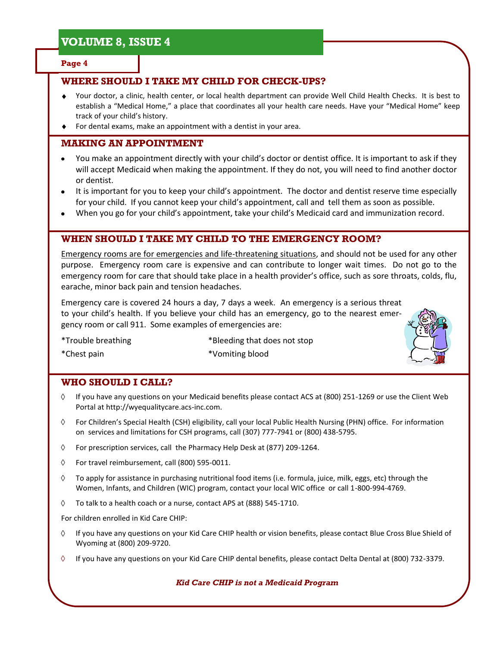#### **Page 4**

### **WHERE SHOULD I TAKE MY CHILD FOR CHECK-UPS?**

- Your doctor, a clinic, health center, or local health department can provide Well Child Health Checks. It is best to establish a "Medical Home," a place that coordinates all your health care needs. Have your "Medical Home" keep track of your child's history.
- For dental exams, make an appointment with a dentist in your area.

### **MAKING AN APPOINTMENT**

- You make an appointment directly with your child's doctor or dentist office. It is important to ask if they will accept Medicaid when making the appointment. If they do not, you will need to find another doctor or dentist.
- It is important for you to keep your child's appointment. The doctor and dentist reserve time especially for your child. If you cannot keep your child's appointment, call and tell them as soon as possible.
- When you go for your child's appointment, take your child's Medicaid card and immunization record.

### **WHEN SHOULD I TAKE MY CHILD TO THE EMERGENCY ROOM?**

Emergency rooms are for emergencies and life-threatening situations, and should not be used for any other purpose. Emergency room care is expensive and can contribute to longer wait times. Do not go to the emergency room for care that should take place in a health provider's office, such as sore throats, colds, flu, earache, minor back pain and tension headaches.

Emergency care is covered 24 hours a day, 7 days a week. An emergency is a serious threat to your child's health. If you believe your child has an emergency, go to the nearest emergency room or call 911. Some examples of emergencies are:

\*Trouble breathing \*Bleeding that does not stop



\*Chest pain \*Vomiting blood

### **WHO SHOULD I CALL?**

- If you have any questions on your Medicaid benefits please contact ACS at (800) 251-1269 or use the Client Web ♦ Portal at http://wyequalitycare.acs-inc.com.
- $\Diamond$  For Children's Special Health (CSH) eligibility, call your local Public Health Nursing (PHN) office. For information on services and limitations for CSH programs, call (307) 777-7941 or (800) 438-5795.
- ♦ For prescription services, call the Pharmacy Help Desk at (877) 209-1264.
- ♦ For travel reimbursement, call (800) 595-0011.
- $\Diamond$ To apply for assistance in purchasing nutritional food items (i.e. formula, juice, milk, eggs, etc) through the Women, Infants, and Children (WIC) program, contact your local WIC office or call 1-800-994-4769.
- ♦ To talk to a health coach or a nurse, contact APS at (888) 545-1710.

For children enrolled in Kid Care CHIP:

- If you have any questions on your Kid Care CHIP health or vision benefits, please contact Blue Cross Blue Shield of ♦ Wyoming at (800) 209-9720.
- $\Diamond$ If you have any questions on your Kid Care CHIP dental benefits, please contact Delta Dental at (800) 732-3379.

*Kid Care CHIP is not a Medicaid Program*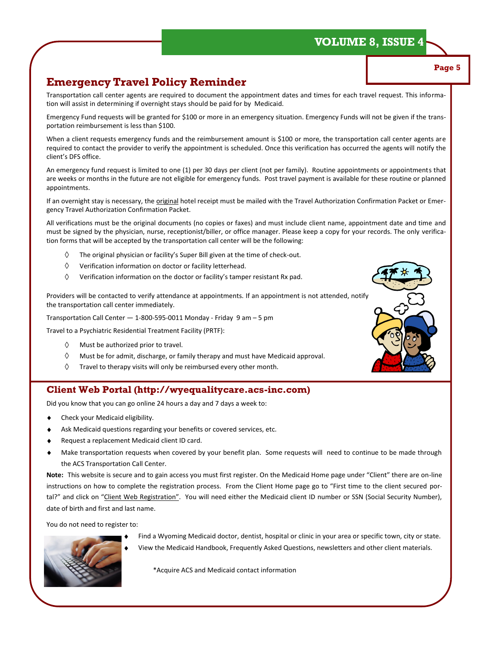**Page 5**

### **Emergency Travel Policy Reminder**

Transportation call center agents are required to document the appointment dates and times for each travel request. This information will assist in determining if overnight stays should be paid for by Medicaid.

Emergency Fund requests will be granted for \$100 or more in an emergency situation. Emergency Funds will not be given if the transportation reimbursement is less than \$100.

When a client requests emergency funds and the reimbursement amount is \$100 or more, the transportation call center agents are required to contact the provider to verify the appointment is scheduled. Once this verification has occurred the agents will notify the client's DFS office.

An emergency fund request is limited to one (1) per 30 days per client (not per family). Routine appointments or appointments that are weeks or months in the future are not eligible for emergency funds. Post travel payment is available for these routine or planned appointments.

If an overnight stay is necessary, the original hotel receipt must be mailed with the Travel Authorization Confirmation Packet or Emergency Travel Authorization Confirmation Packet.

All verifications must be the original documents (no copies or faxes) and must include client name, appointment date and time and must be signed by the physician, nurse, receptionist/biller, or office manager. Please keep a copy for your records. The only verification forms that will be accepted by the transportation call center will be the following:

- $\Diamond$ The original physician or facility's Super Bill given at the time of check-out.
- $\Diamond$ Verification information on doctor or facility letterhead.
- $\Diamond$ Verification information on the doctor or facility's tamper resistant Rx pad.

Providers will be contacted to verify attendance at appointments. If an appointment is not attended, notify the transportation call center immediately.

Transportation Call Center — 1-800-595-0011 Monday - Friday 9 am – 5 pm

Travel to a Psychiatric Residential Treatment Facility (PRTF):

- Must be authorized prior to travel.  $\Diamond$
- $\Diamond$ Must be for admit, discharge, or family therapy and must have Medicaid approval.
- $\Diamond$ Travel to therapy visits will only be reimbursed every other month.

### **Client Web Portal (http://wyequalitycare.acs-inc.com)**

Did you know that you can go online 24 hours a day and 7 days a week to:

- Check your Medicaid eligibility.
- Ask Medicaid questions regarding your benefits or covered services, etc.
- Request a replacement Medicaid client ID card.
- Make transportation requests when covered by your benefit plan. Some requests will need to continue to be made through the ACS Transportation Call Center.

**Note:** This website is secure and to gain access you must first register. On the Medicaid Home page under "Client" there are on-line instructions on how to complete the registration process. From the Client Home page go to "First time to the client secured portal?" and click on "Client Web Registration". You will need either the Medicaid client ID number or SSN (Social Security Number), date of birth and first and last name.

You do not need to register to:



Find a Wyoming Medicaid doctor, dentist, hospital or clinic in your area or specific town, city or state.

View the Medicaid Handbook, Frequently Asked Questions, newsletters and other client materials.

\*Acquire ACS and Medicaid contact information